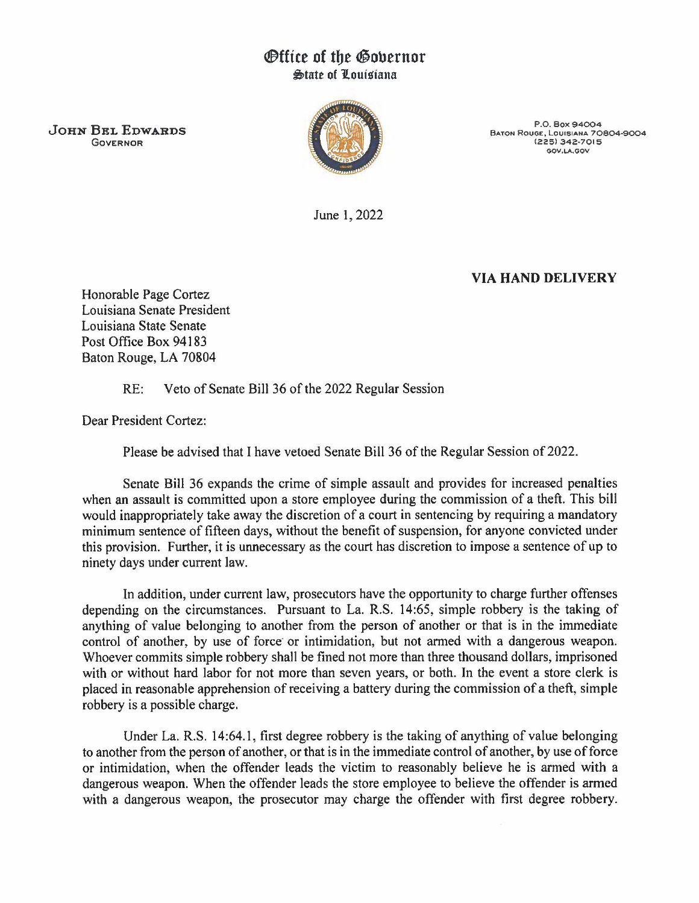## *®ttice of the Governor* ~tatt of Jlouisiana

JOHN BEL EDWARDS GOVERNOR



P.O. Box 94004 BATON ROUGE, LOUISIANA 70804-9004 (225) 342-7015 GOV.LA.GOV

June 1, 2022

## VIA HAND DELIVERY

Honorable Page Cortez Louisiana Senate President Louisiana State Senate Post Office Box 94183 Baton Rouge, LA 70804

RE: Veto of Senate Bill 36 of the 2022 Regular Session

Dear President Cortez:

Please be advised that I have vetoed Senate Bill 36 of the Regular Session of 2022.

Senate Bill 36 expands the crime of simple assault and provides for increased penalties when an assault is committed upon a store employee during the commission of a theft. This bill would inappropriately take away the discretion of a court in sentencing by requiring a mandatory minimum sentence of fifteen days, without the benefit of suspension, for anyone convicted under this provision. Further, it is unnecessary as the court has discretion to impose a sentence of up to ninety days under current law.

In addition, under current law, prosecutors have the opportunity to charge further offenses depending on the circumstances. Pursuant to La. R.S. 14:65, simple robbery is the taking of anything of value belonging to another from the person of another or that is in the immediate control of another, by use of force or intimidation, but not armed with a dangerous weapon. Whoever commits simple robbery shall be fined not more than three thousand dollars, imprisoned with or without hard labor for not more than seven years, or both. In the event a store clerk is placed in reasonable apprehension of receiving a battery during the commission of a theft, simple robbery is a possible charge.

Under La. R.S. 14:64.1, first degree robbery is the taking of anything of value belonging to another from the person of another, or that is in the immediate control of another, by use of force or intimidation, when the offender leads the victim to reasonably believe he is armed with a dangerous weapon. When the offender leads the store employee to believe the offender is armed with a dangerous weapon, the prosecutor may charge the offender with first degree robbery.